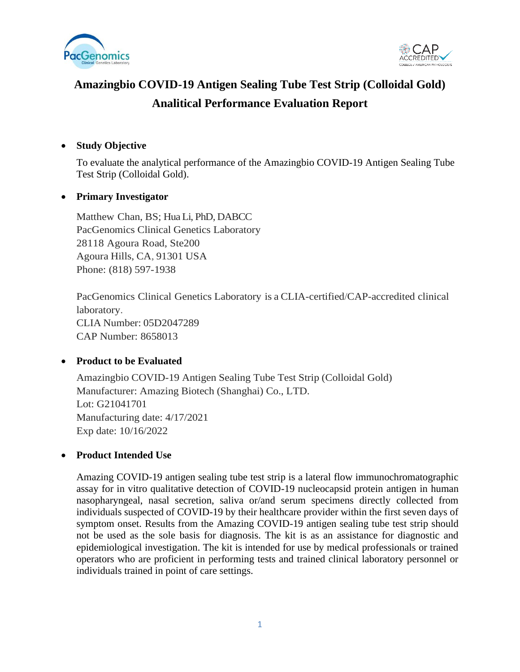



# **Amazingbio COVID-19 Antigen Sealing Tube Test Strip (Colloidal Gold) Analitical Performance Evaluation Report**

#### • **Study Objective**

To evaluate the analytical performance of the Amazingbio COVID-19 Antigen Sealing Tube Test Strip (Colloidal Gold).

#### • **Primary Investigator**

Matthew Chan, BS; Hua Li, PhD, DABCC PacGenomics Clinical Genetics Laboratory 28118 Agoura Road, Ste200 Agoura Hills, CA, 91301 USA Phone: (818) 597-1938

PacGenomics Clinical Genetics Laboratory is a CLIA-certified/CAP-accredited clinical laboratory. CLIA Number: 05D2047289 CAP Number: 8658013

## • **Product to be Evaluated**

Amazingbio COVID-19 Antigen Sealing Tube Test Strip (Colloidal Gold) Manufacturer: Amazing Biotech (Shanghai) Co., LTD. Lot: G21041701 Manufacturing date: 4/17/2021 Exp date: 10/16/2022

#### • **Product Intended Use**

Amazing COVID-19 antigen sealing tube test strip is a lateral flow immunochromatographic assay for in vitro qualitative detection of COVID-19 nucleocapsid protein antigen in human nasopharyngeal, nasal secretion, saliva or/and serum specimens directly collected from individuals suspected of COVID-19 by their healthcare provider within the first seven days of symptom onset. Results from the Amazing COVID-19 antigen sealing tube test strip should not be used as the sole basis for diagnosis. The kit is as an assistance for diagnostic and epidemiological investigation. The kit is intended for use by medical professionals or trained operators who are proficient in performing tests and trained clinical laboratory personnel or individuals trained in point of care settings.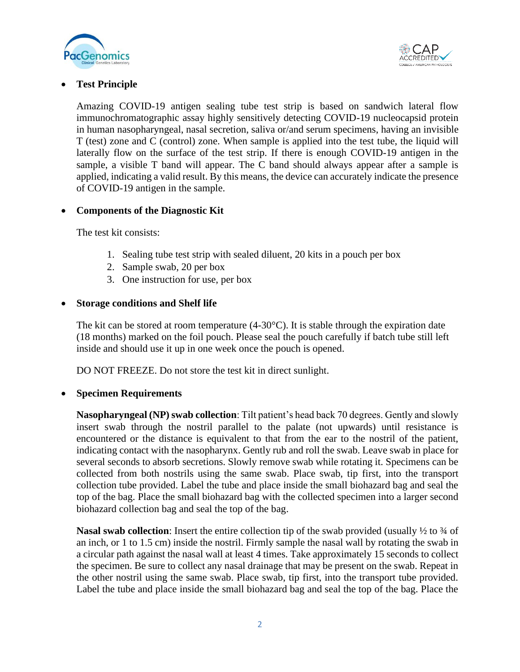



## • **Test Principle**

Amazing COVID-19 antigen sealing tube test strip is based on sandwich lateral flow immunochromatographic assay highly sensitively detecting COVID-19 nucleocapsid protein in human nasopharyngeal, nasal secretion, saliva or/and serum specimens, having an invisible T (test) zone and C (control) zone. When sample is applied into the test tube, the liquid will laterally flow on the surface of the test strip. If there is enough COVID-19 antigen in the sample, a visible T band will appear. The C band should always appear after a sample is applied, indicating a valid result. By this means, the device can accurately indicate the presence of COVID-19 antigen in the sample.

#### • **Components of the Diagnostic Kit**

The test kit consists:

- 1. Sealing tube test strip with sealed diluent, 20 kits in a pouch per box
- 2. Sample swab, 20 per box
- 3. One instruction for use, per box

#### • **Storage conditions and Shelf life**

The kit can be stored at room temperature  $(4-30^{\circ}C)$ . It is stable through the expiration date (18 months) marked on the foil pouch. Please seal the pouch carefully if batch tube still left inside and should use it up in one week once the pouch is opened.

DO NOT FREEZE. Do not store the test kit in direct sunlight.

#### • **Specimen Requirements**

Nasopharyngeal (NP) swab collection: Tilt patient's head back 70 degrees. Gently and slowly insert swab through the nostril parallel to the palate (not upwards) until resistance is encountered or the distance is equivalent to that from the ear to the nostril of the patient, indicating contact with the nasopharynx. Gently rub and roll the swab. Leave swab in place for several seconds to absorb secretions. Slowly remove swab while rotating it. Specimens can be collected from both nostrils using the same swab. Place swab, tip first, into the transport collection tube provided. Label the tube and place inside the small biohazard bag and seal the top of the bag. Place the small biohazard bag with the collected specimen into a larger second biohazard collection bag and seal the top of the bag.

**Nasal swab collection**: Insert the entire collection tip of the swab provided (usually  $\frac{1}{2}$  to  $\frac{3}{4}$  of an inch, or 1 to 1.5 cm) inside the nostril. Firmly sample the nasal wall by rotating the swab in a circular path against the nasal wall at least 4 times. Take approximately 15 seconds to collect the specimen. Be sure to collect any nasal drainage that may be present on the swab. Repeat in the other nostril using the same swab. Place swab, tip first, into the transport tube provided. Label the tube and place inside the small biohazard bag and seal the top of the bag. Place the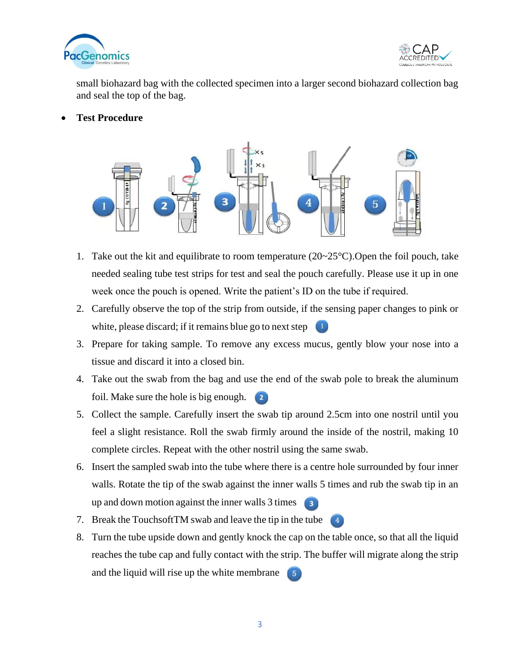



small biohazard bag with the collected specimen into a larger second biohazard collection bag and seal the top of the bag.

• **Test Procedure**



- 1. Take out the kit and equilibrate to room temperature  $(20~25~\text{°C})$ . Open the foil pouch, take needed sealing tube test strips for test and seal the pouch carefully. Please use it up in one week once the pouch is opened. Write the patient's ID on the tube if required.
- 2. Carefully observe the top of the strip from outside, if the sensing paper changes to pink or white, please discard; if it remains blue go to next step  $\Box$
- 3. Prepare for taking sample. To remove any excess mucus, gently blow your nose into a tissue and discard it into a closed bin.
- 4. Take out the swab from the bag and use the end of the swab pole to break the aluminum foil. Make sure the hole is big enough.
- 5. Collect the sample. Carefully insert the swab tip around 2.5cm into one nostril until you feel a slight resistance. Roll the swab firmly around the inside of the nostril, making 10 complete circles. Repeat with the other nostril using the same swab.
- 6. Insert the sampled swab into the tube where there is a centre hole surrounded by four inner walls. Rotate the tip of the swab against the inner walls 5 times and rub the swab tip in an up and down motion against the inner walls 3 times  $\left( 3 \right)$
- 7. Break the Touchsoft TM swab and leave the tip in the tube  $\left(4\right)$
- 8. Turn the tube upside down and gently knock the cap on the table once, so that all the liquid reaches the tube cap and fully contact with the strip. The buffer will migrate along the strip and the liquid will rise up the white membrane  $\begin{bmatrix} 5 \end{bmatrix}$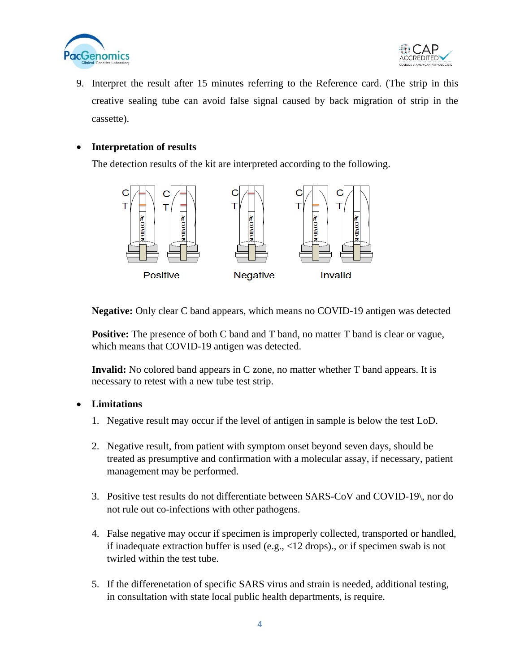



9. Interpret the result after 15 minutes referring to the Reference card. (The strip in this creative sealing tube can avoid false signal caused by back migration of strip in the cassette).

#### • **Interpretation of results**

The detection results of the kit are interpreted according to the following.



**Negative:** Only clear C band appears, which means no COVID-19 antigen was detected

**Positive:** The presence of both C band and T band, no matter T band is clear or vague, which means that COVID-19 antigen was detected.

**Invalid:** No colored band appears in C zone, no matter whether T band appears. It is necessary to retest with a new tube test strip.

### • **Limitations**

- 1. Negative result may occur if the level of antigen in sample is below the test LoD.
- 2. Negative result, from patient with symptom onset beyond seven days, should be treated as presumptive and confirmation with a molecular assay, if necessary, patient management may be performed.
- 3. Positive test results do not differentiate between SARS-CoV and COVID-19\, nor do not rule out co-infections with other pathogens.
- 4. False negative may occur if specimen is improperly collected, transported or handled, if inadequate extraction buffer is used (e.g., <12 drops)., or if specimen swab is not twirled within the test tube.
- 5. If the differenetation of specific SARS virus and strain is needed, additional testing, in consultation with state local public health departments, is require.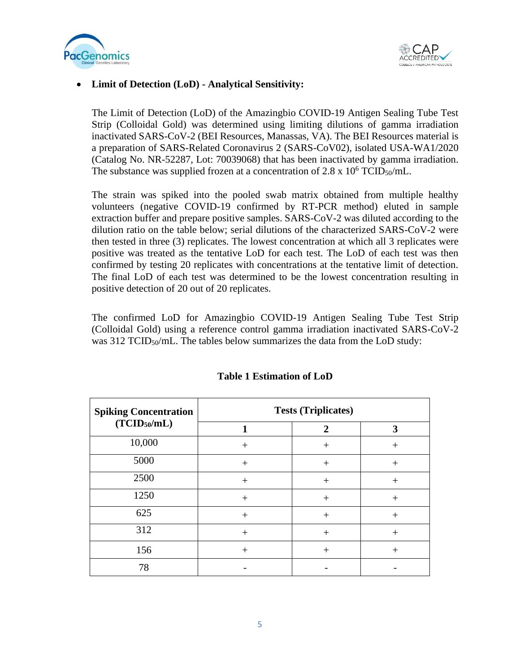



#### • **Limit of Detection (LoD) - Analytical Sensitivity:**

The Limit of Detection (LoD) of the Amazingbio COVID-19 Antigen Sealing Tube Test Strip (Colloidal Gold) was determined using limiting dilutions of gamma irradiation inactivated SARS-CoV-2 (BEI Resources, Manassas, VA). The BEI Resources material is a preparation of SARS-Related Coronavirus 2 (SARS-CoV02), isolated USA-WA1/2020 (Catalog No. NR-52287, Lot: 70039068) that has been inactivated by gamma irradiation. The substance was supplied frozen at a concentration of 2.8 x  $10^6$  TCID<sub>50</sub>/mL.

The strain was spiked into the pooled swab matrix obtained from multiple healthy volunteers (negative COVID-19 confirmed by RT-PCR method) eluted in sample extraction buffer and prepare positive samples. SARS-CoV-2 was diluted according to the dilution ratio on the table below; serial dilutions of the characterized SARS-CoV-2 were then tested in three (3) replicates. The lowest concentration at which all 3 replicates were positive was treated as the tentative LoD for each test. The LoD of each test was then confirmed by testing 20 replicates with concentrations at the tentative limit of detection. The final LoD of each test was determined to be the lowest concentration resulting in positive detection of 20 out of 20 replicates.

The confirmed LoD for Amazingbio COVID-19 Antigen Sealing Tube Test Strip (Colloidal Gold) using a reference control gamma irradiation inactivated SARS-CoV-2 was  $312$  TCID<sub>50</sub>/mL. The tables below summarizes the data from the LoD study:

| <b>Spiking Concentration</b> | <b>Tests (Triplicates)</b> |                |        |
|------------------------------|----------------------------|----------------|--------|
| (TCID <sub>50</sub> /mL)     |                            | $\overline{2}$ | 3      |
| 10,000                       | $^{+}$                     | $^{+}$         | $^{+}$ |
| 5000                         | $+$                        | $^{+}$         | $^{+}$ |
| 2500                         | $^{+}$                     | $\,+\,$        | $^{+}$ |
| 1250                         | $^{+}$                     | $^{+}$         | $^{+}$ |
| 625                          | $^{+}$                     | $^{+}$         | $^{+}$ |
| 312                          | $^{+}$                     | $\,+\,$        | $^{+}$ |
| 156                          | $^{+}$                     | $^{+}$         |        |
| 78                           |                            |                |        |

## **Table 1 Estimation of LoD**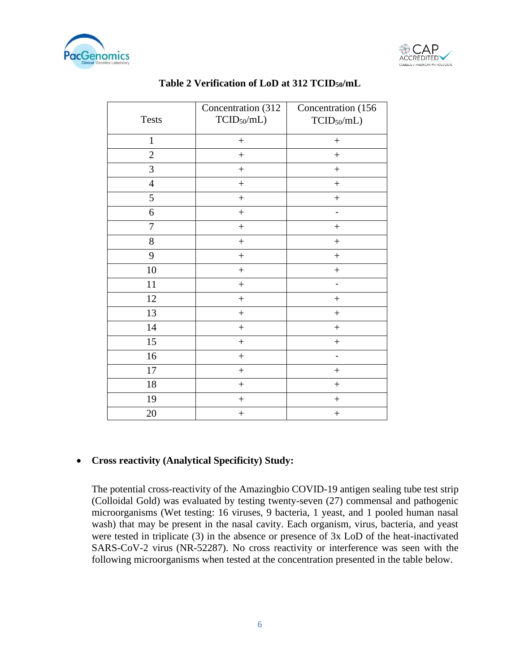



| <b>Tests</b>   | Concentration (312<br>$TCID_{50}/mL)$ | Concentration (156<br>$TCID_{50}/mL)$ |
|----------------|---------------------------------------|---------------------------------------|
| $\mathbf{1}$   | $\boldsymbol{+}$                      | $\! + \!$                             |
| $\overline{2}$ | $^{+}$                                | $^{+}$                                |
| 3              | $^{+}$                                | $^{+}$                                |
| $\overline{4}$ | $^{+}$                                | $\ddot{}$                             |
| 5              | $^{+}$                                | $^{+}$                                |
| 6              | $\boldsymbol{+}$                      | $\overline{a}$                        |
| $\overline{7}$ | $\boldsymbol{+}$                      | $^{+}$                                |
| $8\,$          | $^{+}$                                | $^{+}$                                |
| 9              | $+$                                   | $^{+}$                                |
| 10             | $+$                                   | $^{+}$                                |
| 11             | $\boldsymbol{+}$                      |                                       |
| 12             | $\boldsymbol{+}$                      | $^{+}$                                |
| 13             | $+$                                   | $^{+}$                                |
| 14             | $^{+}$                                | $^{+}$                                |
| 15             | $\boldsymbol{+}$                      | $^{+}$                                |
| 16             | $^{+}$                                |                                       |
| 17             | $\ddot{}$                             | $^{+}$                                |
| 18             | $\boldsymbol{+}$                      | $^{+}$                                |
| 19             | $^{+}$                                | $^{+}$                                |
| 20             | $\! + \!$                             | $^{+}$                                |

## **Table 2 Verification of LoD at 312 TCID50/mL**

## • **Cross reactivity (Analytical Specificity) Study:**

The potential cross-reactivity of the Amazingbio COVID-19 antigen sealing tube test strip (Colloidal Gold) was evaluated by testing twenty-seven (27) commensal and pathogenic microorganisms (Wet testing: 16 viruses, 9 bacteria, 1 yeast, and 1 pooled human nasal wash) that may be present in the nasal cavity. Each organism, virus, bacteria, and yeast were tested in triplicate (3) in the absence or presence of 3x LoD of the heat-inactivated SARS-CoV-2 virus (NR-52287). No cross reactivity or interference was seen with the following microorganisms when tested at the concentration presented in the table below.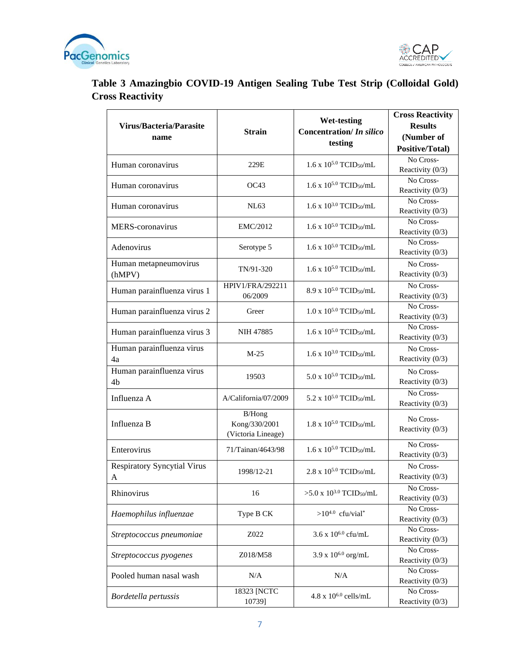



# **Table 3 Amazingbio COVID-19 Antigen Sealing Tube Test Strip (Colloidal Gold) Cross Reactivity**

| Virus/Bacteria/Parasite<br>name             | <b>Strain</b>                                         | <b>Wet-testing</b><br><b>Concentration/</b> In silico<br>testing | <b>Cross Reactivity</b><br><b>Results</b><br>(Number of<br>Positive/Total) |
|---------------------------------------------|-------------------------------------------------------|------------------------------------------------------------------|----------------------------------------------------------------------------|
| Human coronavirus                           | 229E                                                  | $1.6 \times 10^{5.0}$ TCID <sub>50</sub> /mL                     | No Cross-<br>Reactivity (0/3)                                              |
| Human coronavirus                           | OC43                                                  | $1.6 \times 10^{5.0}$ TCID <sub>50</sub> /mL                     | No Cross-<br>Reactivity (0/3)                                              |
| Human coronavirus                           | NL63                                                  | $1.6 \times 10^{3.0}$ TCID <sub>50</sub> /mL                     | No Cross-<br>Reactivity (0/3)                                              |
| <b>MERS-coronavirus</b>                     | EMC/2012                                              | $1.6 \times 10^{5.0}$ TCID <sub>50</sub> /mL                     | No Cross-<br>Reactivity (0/3)                                              |
| Adenovirus                                  | Serotype 5                                            | $1.6 \times 10^{5.0}$ TCID <sub>50</sub> /mL                     | No Cross-<br>Reactivity (0/3)                                              |
| Human metapneumovirus<br>(hMPV)             | TN/91-320                                             | $1.6 \times 10^{5.0}$ TCID <sub>50</sub> /mL                     | No Cross-<br>Reactivity (0/3)                                              |
| Human parainfluenza virus 1                 | HPIV1/FRA/292211<br>06/2009                           | $8.9$ x $10^{5.0}$ TCID <sub>50</sub> /mL                        | No Cross-<br>Reactivity (0/3)                                              |
| Human parainfluenza virus 2                 | $1.0 \times 10^{5.0}$ TCID <sub>50</sub> /mL<br>Greer |                                                                  | No Cross-<br>Reactivity (0/3)                                              |
| Human parainfluenza virus 3                 | <b>NIH 47885</b>                                      | $1.6 \times 10^{5.0}$ TCID <sub>50</sub> /mL                     | No Cross-<br>Reactivity (0/3)                                              |
| Human parainfluenza virus<br>4a             | $M-25$                                                | $1.6 \times 10^{3.0}$ TCID <sub>50</sub> /mL                     | No Cross-<br>Reactivity $(0/3)$                                            |
| Human parainfluenza virus<br>4 <sub>b</sub> | 19503                                                 | $5.0 \times 10^{5.0}$ TCID <sub>50</sub> /mL                     | No Cross-<br>Reactivity (0/3)                                              |
| Influenza A                                 | A/California/07/2009                                  | 5.2 x 10 <sup>5.0</sup> TCID <sub>50</sub> /mL                   | No Cross-<br>Reactivity (0/3)                                              |
| Influenza B                                 | B/Hong<br>Kong/330/2001<br>(Victoria Lineage)         | $1.8 \times 10^{5.0}$ TCID <sub>50</sub> /mL                     | No Cross-<br>Reactivity (0/3)                                              |
| Enterovirus                                 | 71/Tainan/4643/98                                     | $1.6 \times 10^{5.0}$ TCID <sub>50</sub> /mL                     | No Cross-<br>Reactivity (0/3)                                              |
| <b>Respiratory Syncytial Virus</b><br>A     | 1998/12-21                                            | 2.8 x 105.0 TCID <sub>50</sub> /mL                               | No Cross-<br>Reactivity (0/3)                                              |
| Rhinovirus                                  | 16                                                    | $>5.0 \times 10^{3.0}$ TCID <sub>50</sub> /mL                    | No Cross-<br>Reactivity (0/3)                                              |
| Haemophilus influenzae                      | Type B CK                                             | $>10^{4.0}$ cfu/vial*                                            | No Cross-<br>Reactivity (0/3)                                              |
| Streptococcus pneumoniae                    | Z022                                                  | 3.6 x $10^{6.0}$ cfu/mL                                          | No Cross-<br>Reactivity (0/3)                                              |
| Streptococcus pyogenes                      | Z018/M58                                              | $3.9 \times 10^{6.0}$ org/mL                                     | No Cross-<br>Reactivity (0/3)                                              |
| Pooled human nasal wash                     | N/A                                                   | N/A                                                              | No Cross-<br>Reactivity (0/3)                                              |
| Bordetella pertussis                        | 18323 [NCTC<br>10739]                                 | $4.8 \times 10^{6.0}$ cells/mL                                   | No Cross-<br>Reactivity (0/3)                                              |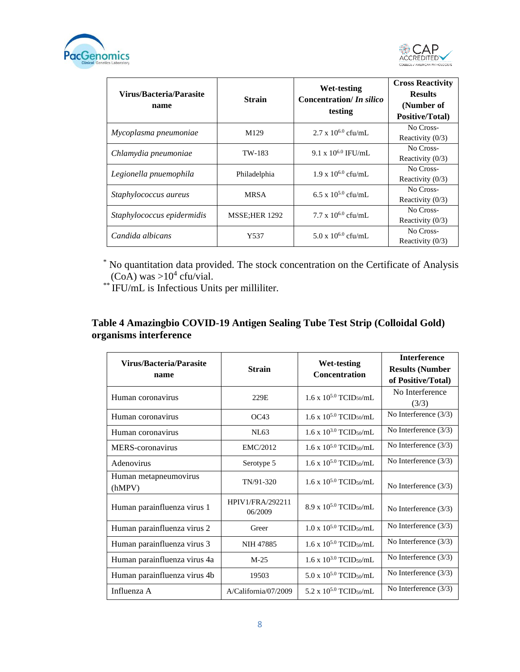



| Virus/Bacteria/Parasite<br>name | <b>Strain</b>    | Wet-testing<br>Concentration/ <i>In silico</i><br>testing | <b>Cross Reactivity</b><br><b>Results</b><br>(Number of<br><b>Positive/Total</b> ) |
|---------------------------------|------------------|-----------------------------------------------------------|------------------------------------------------------------------------------------|
| Mycoplasma pneumoniae           | M <sub>129</sub> | $2.7 \times 10^{6.0}$ cfu/mL                              | No Cross-<br>Reactivity $(0/3)$                                                    |
| Chlamydia pneumoniae            | TW-183           | $9.1 \times 10^{6.0}$ IFU/mL                              | No Cross-<br>Reactivity $(0/3)$                                                    |
| Legionella pnuemophila          | Philadelphia     | $1.9 \times 10^{6.0}$ cfu/mL                              | No Cross-<br>Reactivity $(0/3)$                                                    |
| Staphylococcus aureus           | <b>MRSA</b>      | 6.5 x $10^{5.0}$ cfu/mL                                   | No Cross-<br>Reactivity $(0/3)$                                                    |
| Staphylococcus epidermidis      | MSSE:HER 1292    | $7.7 \times 10^{6.0}$ cfu/mL                              | No Cross-<br>Reactivity $(0/3)$                                                    |
| Candida albicans                | Y537             | 5.0 x $10^{6.0}$ cfu/mL                                   | No Cross-<br>Reactivity $(0/3)$                                                    |

\* No quantitation data provided. The stock concentration on the Certificate of Analysis  $(CoA)$  was  $>10^4$  cfu/vial.

\*\* IFU/mL is Infectious Units per milliliter.

# **Table 4 Amazingbio COVID-19 Antigen Sealing Tube Test Strip (Colloidal Gold) organisms interference**

| Virus/Bacteria/Parasite      |                                    | <b>Wet-testing</b>                           | <b>Interference</b>     |
|------------------------------|------------------------------------|----------------------------------------------|-------------------------|
|                              | <b>Strain</b>                      | <b>Concentration</b>                         | <b>Results (Number</b>  |
| name                         |                                    |                                              | of Positive/Total)      |
| Human coronavirus            | 229E                               | $1.6 \times 10^{5.0}$ TCID <sub>50</sub> /mL | No Interference         |
|                              |                                    |                                              | (3/3)                   |
| Human coronavirus            | OC43                               | $1.6 \times 10^{5.0}$ TCID <sub>50</sub> /mL | No Interference $(3/3)$ |
| Human coronavirus            | NL63                               | $1.6 \times 10^{3.0}$ TCID <sub>50</sub> /mL | No Interference $(3/3)$ |
| MERS-coronavirus             | EMC/2012                           | $1.6 \times 10^{5.0}$ TCID <sub>50</sub> /mL | No Interference $(3/3)$ |
| Adenovirus                   | Serotype 5                         | $1.6 \times 10^{5.0}$ TCID <sub>50</sub> /mL | No Interference $(3/3)$ |
| Human metapneumovirus        | TN/91-320                          | $1.6 \times 10^{5.0}$ TCID <sub>50</sub> /mL |                         |
| (hMPV)                       |                                    |                                              | No Interference $(3/3)$ |
| Human parainfluenza virus 1  | <b>HPIV1/FRA/292211</b><br>06/2009 | 8.9 x $10^{5.0}$ TCID <sub>50</sub> /mL      | No Interference $(3/3)$ |
| Human parainfluenza virus 2  | Greer                              | $1.0 \times 10^{5.0}$ TCID <sub>50</sub> /mL | No Interference $(3/3)$ |
| Human parainfluenza virus 3  | NIH 47885                          | $1.6 \times 10^{5.0}$ TCID <sub>50</sub> /mL | No Interference $(3/3)$ |
| Human parainfluenza virus 4a | $M-25$                             | $1.6 \times 10^{3.0}$ TCID <sub>50</sub> /mL | No Interference $(3/3)$ |
| Human parainfluenza virus 4b | 19503                              | 5.0 x $10^{5.0}$ TCID <sub>50</sub> /mL      | No Interference $(3/3)$ |
| Influenza A                  | A/California/07/2009               | 5.2 x $10^{5.0}$ TCID <sub>50</sub> /mL      | No Interference $(3/3)$ |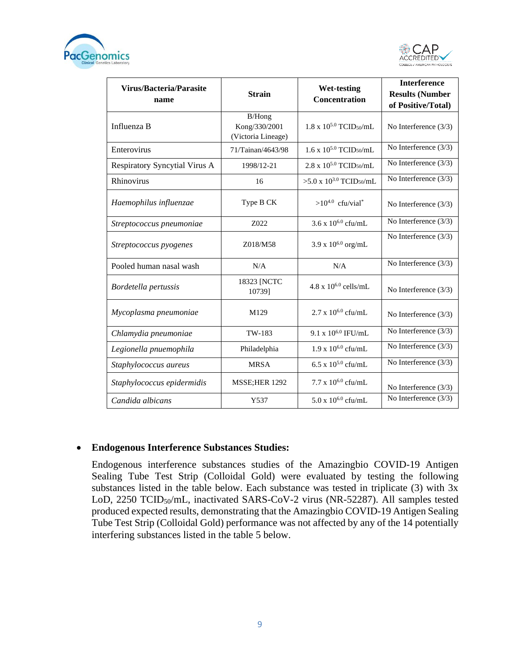



| <b>Virus/Bacteria/Parasite</b><br>name | <b>Strain</b>                                 | <b>Wet-testing</b><br>Concentration          | <b>Interference</b><br><b>Results (Number</b><br>of Positive/Total) |
|----------------------------------------|-----------------------------------------------|----------------------------------------------|---------------------------------------------------------------------|
| Influenza B                            | B/Hong<br>Kong/330/2001<br>(Victoria Lineage) | $1.8 \times 10^{5.0}$ TCID <sub>50</sub> /mL | No Interference $(3/3)$                                             |
| Enterovirus                            | 71/Tainan/4643/98                             | $1.6 \times 10^{5.0}$ TCID <sub>50</sub> /mL | No Interference $(3/3)$                                             |
| <b>Respiratory Syncytial Virus A</b>   | 1998/12-21                                    | $2.8$ x $10^{5.0}$ TCID <sub>50</sub> /mL    | No Interference $(3/3)$                                             |
| Rhinovirus                             | 16                                            | >5.0 x $10^{3.0}$ TCID <sub>50</sub> /mL     | No Interference (3/3)                                               |
| Haemophilus influenzae                 | Type B CK                                     | $>10^{4.0}$ cfu/vial*                        | No Interference $(3/3)$                                             |
| Streptococcus pneumoniae               | Z022                                          | 3.6 x $10^{6.0}$ cfu/mL                      | No Interference (3/3)                                               |
| Streptococcus pyogenes                 | Z018/M58                                      | 3.9 x $10^{6.0}$ org/mL                      | No Interference $(3/3)$                                             |
| Pooled human nasal wash                | N/A                                           | N/A                                          | No Interference $(3/3)$                                             |
| Bordetella pertussis                   | 18323 [NCTC<br>10739]                         | $4.8 \times 10^{6.0}$ cells/mL               | No Interference $(3/3)$                                             |
| Mycoplasma pneumoniae                  | M129                                          | $2.7 \times 10^{6.0}$ cfu/mL                 | No Interference (3/3)                                               |
| Chlamydia pneumoniae                   | TW-183                                        | 9.1 x 10 <sup>6.0</sup> IFU/mL               | $\overline{No}$ Interference (3/3)                                  |
| Legionella pnuemophila                 | Philadelphia                                  | $1.9 \times 10^{6.0}$ cfu/mL                 | No Interference (3/3)                                               |
| Staphylococcus aureus                  | <b>MRSA</b>                                   | 6.5 x $10^{5.0}$ cfu/mL                      | No Interference $(3/3)$                                             |
| Staphylococcus epidermidis             | <b>MSSE;HER 1292</b>                          | 7.7 x $10^{6.0}$ cfu/mL                      | No Interference $(3/3)$                                             |
| Candida albicans                       | Y537                                          | 5.0 x $10^{6.0}$ cfu/mL                      | No Interference $(3/3)$                                             |

#### • **Endogenous Interference Substances Studies:**

Endogenous interference substances studies of the Amazingbio COVID-19 Antigen Sealing Tube Test Strip (Colloidal Gold) were evaluated by testing the following substances listed in the table below. Each substance was tested in triplicate (3) with 3x LoD, 2250 TCID50/mL, inactivated SARS-CoV-2 virus (NR-52287). All samples tested produced expected results, demonstrating that the Amazingbio COVID-19 Antigen Sealing Tube Test Strip (Colloidal Gold) performance was not affected by any of the 14 potentially interfering substances listed in the table 5 below.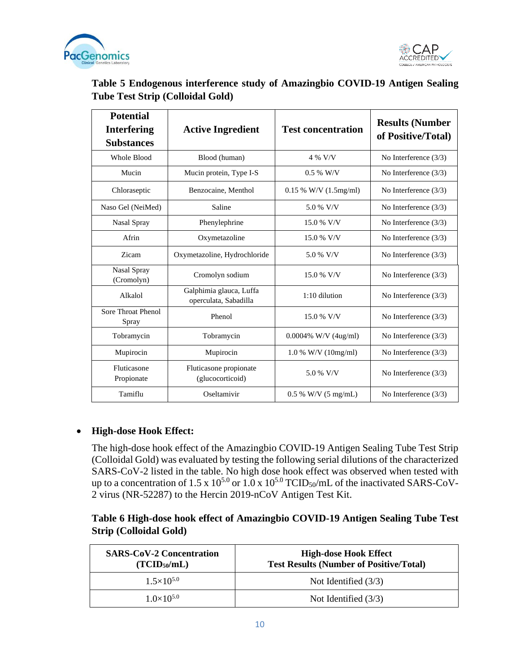



| Table 5 Endogenous interference study of Amazingbio COVID-19 Antigen Sealing |  |  |
|------------------------------------------------------------------------------|--|--|
| <b>Tube Test Strip (Colloidal Gold)</b>                                      |  |  |

| <b>Potential</b>                 |                                                  |                                 |                                              |
|----------------------------------|--------------------------------------------------|---------------------------------|----------------------------------------------|
| <b>Interfering</b>               | <b>Active Ingredient</b>                         | <b>Test concentration</b>       | <b>Results (Number</b><br>of Positive/Total) |
| <b>Substances</b>                |                                                  |                                 |                                              |
| Whole Blood                      | Blood (human)                                    | 4 % V/V                         | No Interference $(3/3)$                      |
| Mucin                            | Mucin protein, Type I-S                          | $0.5\%$ W/V                     | No Interference $(3/3)$                      |
| Chloraseptic                     | Benzocaine, Menthol                              | $0.15 %$ W/V $(1.5mg/ml)$       | No Interference $(3/3)$                      |
| Naso Gel (NeiMed)                | Saline                                           | 5.0 % V/V                       | No Interference $(3/3)$                      |
| Nasal Spray                      | Phenylephrine                                    | 15.0 % V/V                      | No Interference $(3/3)$                      |
| Afrin                            | Oxymetazoline                                    | 15.0 % V/V                      | No Interference $(3/3)$                      |
| Zicam                            | Oxymetazoline, Hydrochloride                     | 5.0 % V/V                       | No Interference $(3/3)$                      |
| <b>Nasal Spray</b><br>(Cromolyn) | Cromolyn sodium                                  | 15.0 % V/V                      | No Interference $(3/3)$                      |
| Alkalol                          | Galphimia glauca, Luffa<br>operculata, Sabadilla | 1:10 dilution                   | No Interference $(3/3)$                      |
| Sore Throat Phenol<br>Spray      | Phenol                                           | 15.0 % V/V                      | No Interference $(3/3)$                      |
| Tobramycin                       | Tobramycin                                       | $0.0004\%$ W/V (4ug/ml)         | No Interference $(3/3)$                      |
| Mupirocin                        | Mupirocin                                        | $1.0 %$ W/V (10mg/ml)           | No Interference $(3/3)$                      |
| Fluticasone<br>Propionate        | Fluticasone propionate<br>(glucocorticoid)       | 5.0 % V/V                       | No Interference $(3/3)$                      |
| Tamiflu                          | Oseltamivir                                      | $0.5\%$ W/V $(5 \text{ mg/mL})$ | No Interference $(3/3)$                      |

## • **High-dose Hook Effect:**

The high-dose hook effect of the Amazingbio COVID-19 Antigen Sealing Tube Test Strip (Colloidal Gold) was evaluated by testing the following serial dilutions of the characterized SARS-CoV-2 listed in the table. No high dose hook effect was observed when tested with up to a concentration of 1.5 x  $10^{5.0}$  or  $1.0$  x  $10^{5.0}$  TCID<sub>50</sub>/mL of the inactivated SARS-CoV-2 virus (NR-52287) to the Hercin 2019-nCoV Antigen Test Kit.

**Table 6 High-dose hook effect of Amazingbio COVID-19 Antigen Sealing Tube Test Strip (Colloidal Gold)**

| <b>SARS-CoV-2 Concentration</b><br>(TCID <sub>50</sub> /mL) | <b>High-dose Hook Effect</b><br><b>Test Results (Number of Positive/Total)</b> |
|-------------------------------------------------------------|--------------------------------------------------------------------------------|
| $1.5\times10^{5.0}$                                         | Not Identified $(3/3)$                                                         |
| $1.0\times10^{5.0}$                                         | Not Identified $(3/3)$                                                         |